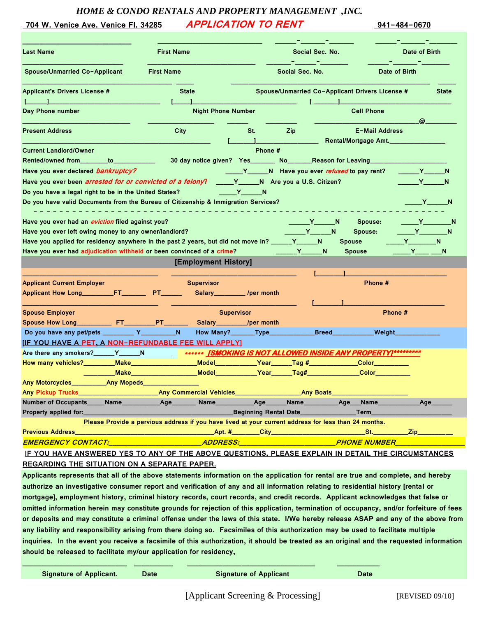### *HOME & CONDO RENTALS AND PROPERTY MANAGEMENT ,INC.*

## **704 W. Venice Ave. Venice Fl. 34285 APPLICATION TO RENT 941-484-0670**

| <b>Last Name</b>                                                                                                                                                                                                                                                                     | <b>First Name</b>                                                                                                                                                                                                                   |                                |                                     | Social Sec. No.                                                  | Date of Birth                                                                         |
|--------------------------------------------------------------------------------------------------------------------------------------------------------------------------------------------------------------------------------------------------------------------------------------|-------------------------------------------------------------------------------------------------------------------------------------------------------------------------------------------------------------------------------------|--------------------------------|-------------------------------------|------------------------------------------------------------------|---------------------------------------------------------------------------------------|
| <b>Spouse/Unmarried Co-Applicant</b>                                                                                                                                                                                                                                                 | <b>First Name</b>                                                                                                                                                                                                                   |                                | Social Sec. No.                     |                                                                  | Date of Birth                                                                         |
| <b>Applicant's Drivers License #</b>                                                                                                                                                                                                                                                 | <b>State</b>                                                                                                                                                                                                                        |                                |                                     | Spouse/Unmarried Co-Applicant Drivers License #                  | <b>State</b>                                                                          |
| Day Phone number                                                                                                                                                                                                                                                                     |                                                                                                                                                                                                                                     | <b>Night Phone Number</b>      |                                     | <b>Cell Phone</b>                                                | @_                                                                                    |
| <b>Present Address</b>                                                                                                                                                                                                                                                               | <b>City</b>                                                                                                                                                                                                                         | St.                            | Zip                                 | <b>E-Mail Address</b><br>Rental/Mortgage Amt.                    |                                                                                       |
| <b>Current Landlord/Owner</b>                                                                                                                                                                                                                                                        |                                                                                                                                                                                                                                     |                                | Phone #                             |                                                                  |                                                                                       |
| Rented/owned from to                                                                                                                                                                                                                                                                 |                                                                                                                                                                                                                                     |                                |                                     | 30 day notice given? Yes________ No__________Reason for Leaving_ |                                                                                       |
| Have you ever declared bankruptcy?                                                                                                                                                                                                                                                   |                                                                                                                                                                                                                                     |                                |                                     | N Have you ever refused to pay rent?                             | n y N                                                                                 |
| Have you ever been <i>arrested for or convicted of a felony</i> ?                                                                                                                                                                                                                    |                                                                                                                                                                                                                                     |                                | Y_________N Are you a U.S. Citizen? |                                                                  |                                                                                       |
| Do you have a legal right to be in the United States?                                                                                                                                                                                                                                |                                                                                                                                                                                                                                     | <b>Example 19</b>              |                                     |                                                                  |                                                                                       |
| Do you have valid Documents from the Bureau of Citizenship & Immigration Services?                                                                                                                                                                                                   |                                                                                                                                                                                                                                     |                                |                                     |                                                                  |                                                                                       |
| Have you ever had an eviction filed against you?<br>Have you ever left owing money to any owner/landlord?<br>Have you applied for residency anywhere in the past 2 years, but did not move in? _____Y_____N<br>Have you ever had adjudication withheld or been convinced of a crime? |                                                                                                                                                                                                                                     |                                | <u> У N</u>                         | Spouse:<br><b>Y</b> N<br>Spouse:<br>Spouse<br><b>Spouse</b>      | <b>Example 19</b><br><b>Example 19</b><br>$Y \_ N$<br>$Y$ <sub>___</sub> ___________N |
|                                                                                                                                                                                                                                                                                      |                                                                                                                                                                                                                                     | [Employment History]           |                                     |                                                                  |                                                                                       |
|                                                                                                                                                                                                                                                                                      |                                                                                                                                                                                                                                     |                                |                                     |                                                                  |                                                                                       |
| <b>Applicant Current Employer</b>                                                                                                                                                                                                                                                    |                                                                                                                                                                                                                                     | <b>Supervisor</b>              |                                     | Phone #                                                          |                                                                                       |
|                                                                                                                                                                                                                                                                                      |                                                                                                                                                                                                                                     | Salary_____________ /per month |                                     |                                                                  |                                                                                       |
|                                                                                                                                                                                                                                                                                      |                                                                                                                                                                                                                                     |                                |                                     |                                                                  |                                                                                       |
| <b>Spouse Employer</b>                                                                                                                                                                                                                                                               |                                                                                                                                                                                                                                     | <b>Supervisor</b>              |                                     |                                                                  | Phone #                                                                               |
|                                                                                                                                                                                                                                                                                      |                                                                                                                                                                                                                                     | Salary______                   | $\sqrt{p}$ er month                 |                                                                  |                                                                                       |
|                                                                                                                                                                                                                                                                                      | N.                                                                                                                                                                                                                                  |                                |                                     | <b>Breed</b>                                                     | Weight_                                                                               |
|                                                                                                                                                                                                                                                                                      |                                                                                                                                                                                                                                     |                                |                                     |                                                                  |                                                                                       |
| [IF YOU HAVE A PET, A NON-REFUNDABLE FEE WILL APPLY]                                                                                                                                                                                                                                 |                                                                                                                                                                                                                                     |                                |                                     |                                                                  |                                                                                       |
| Are there any smokers?_____Y____N                                                                                                                                                                                                                                                    |                                                                                                                                                                                                                                     |                                |                                     | ****** [SMOKING IS NOT ALLOWED INSIDE ANY PROPERTY]*********     |                                                                                       |
| How many vehicles?________                                                                                                                                                                                                                                                           | Make_______________                                                                                                                                                                                                                 |                                |                                     | <b>Color</b>                                                     |                                                                                       |
|                                                                                                                                                                                                                                                                                      | <b>Make</b> the control of the control of the control of the control of the control of the control of the control of the control of the control of the control of the control of the control of the control of the control of the c | <b>Model Model</b>             | Year                                | _Tag#_______________<br><b>Color</b>                             |                                                                                       |
| <b>Any Motorcycles</b><br><b>Any Mopeds</b>                                                                                                                                                                                                                                          |                                                                                                                                                                                                                                     |                                |                                     |                                                                  |                                                                                       |
|                                                                                                                                                                                                                                                                                      |                                                                                                                                                                                                                                     |                                |                                     |                                                                  |                                                                                       |
| Number of Occupants_____Name___________Age________Name_________Age_____Name_________Age___Name__________Age_____                                                                                                                                                                     |                                                                                                                                                                                                                                     |                                |                                     |                                                                  |                                                                                       |
|                                                                                                                                                                                                                                                                                      |                                                                                                                                                                                                                                     |                                |                                     |                                                                  |                                                                                       |
|                                                                                                                                                                                                                                                                                      | Please Provide a pervious address if you have lived at your current address for less than 24 months.                                                                                                                                |                                |                                     |                                                                  |                                                                                       |
|                                                                                                                                                                                                                                                                                      |                                                                                                                                                                                                                                     |                                |                                     |                                                                  |                                                                                       |
|                                                                                                                                                                                                                                                                                      |                                                                                                                                                                                                                                     |                                |                                     |                                                                  |                                                                                       |
| IF YOU HAVE ANSWERED YES TO ANY OF THE ABOVE QUESTIONS, PLEASE EXPLAIN IN DETAIL THE CIRCUMSTANCES<br>REGARDING THE SITUATION ON A SEPARATE PAPER.                                                                                                                                   |                                                                                                                                                                                                                                     |                                |                                     |                                                                  |                                                                                       |

**authorize an investigative consumer report and verification of any and all information relating to residential history [rental or mortgage], employment history, criminal history records, court records, and credit records. Applicant acknowledges that false or omitted information herein may constitute grounds for rejection of this application, termination of occupancy, and/or forfeiture of fees or deposits and may constitute a criminal offense under the laws of this state. I/We hereby release ASAP and any of the above from any liability and responsibility arising from there doing so. Facsimiles of this authorization may be used to facilitate multiple inquiries. In the event you receive a facsimile of this authorization, it should be treated as an original and the requested information should be released to facilitate my/our application for residency,**

**\_\_\_\_\_\_\_\_\_\_\_\_\_\_\_\_\_\_\_\_\_\_\_\_\_\_\_ \_\_\_\_\_\_\_\_\_\_ \_\_\_\_\_\_\_\_\_\_\_\_\_\_\_\_\_\_\_\_\_\_\_\_\_\_\_\_\_\_\_\_\_ \_\_\_\_\_\_\_\_\_\_\_**